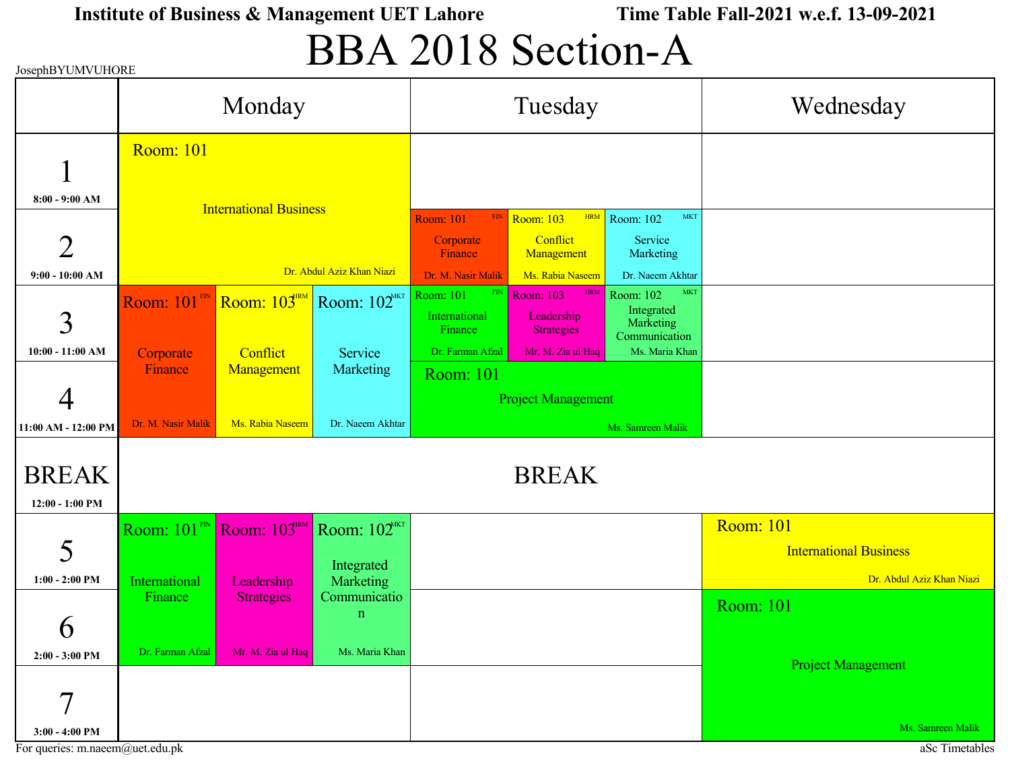## BBA 2018 Section-A

|                                               | JosephBYUMVUHORE              |                                                            |                                                     |                                                                       |                                                                                        |                                                                                       |                                                                                |
|-----------------------------------------------|-------------------------------|------------------------------------------------------------|-----------------------------------------------------|-----------------------------------------------------------------------|----------------------------------------------------------------------------------------|---------------------------------------------------------------------------------------|--------------------------------------------------------------------------------|
|                                               | Monday                        |                                                            | Tuesday                                             |                                                                       |                                                                                        | Wednesday                                                                             |                                                                                |
| $8:00 - 9:00$ AM                              | <b>Room: 101</b>              | <b>International Business</b><br>Dr. Abdul Aziz Khan Niazi |                                                     |                                                                       |                                                                                        |                                                                                       |                                                                                |
| $\overline{2}$<br>$9:00 - 10:00$ AM           |                               |                                                            |                                                     | <b>Room: 101</b><br>FIN<br>Corporate<br>Finance<br>Dr. M. Nasir Malik | <b>Room: 103</b><br><b>HRM</b><br>Conflict<br>Management<br>Ms. Rabia Naseem           | <b>MKT</b><br>Room: 102<br>Service<br>Marketing<br>Dr. Naeem Akhtar                   |                                                                                |
| 3<br>$10:00 - 11:00$ AM                       | Room: 101FIN<br>Corporate     | Room: 103HRM<br>Conflict                                   | Room: 102 <sup>MKT</sup><br>Service                 | Room: 101<br>International<br>Finance<br>Dr. Farman Afzal             | <b>HRM</b><br><b>Room: 103</b><br>Leadership<br><b>Strategies</b><br>Mr. M. Zia ul Haq | <b>MKT</b><br>Room: 102<br>Integrated<br>Marketing<br>Communication<br>Ms. Maria Khan |                                                                                |
| 11:00 AM - 12:00 PM                           | Finance<br>Dr. M. Nasir Malik | Management<br>Ms. Rabia Naseem                             | Marketing<br>Dr. Naeem Akhtar                       | <b>Room: 101</b>                                                      | <b>Project Management</b>                                                              | Ms. Samreen Malik                                                                     |                                                                                |
| <b>BREAK</b><br>12:00 - 1:00 PM               | <b>BREAK</b>                  |                                                            |                                                     |                                                                       |                                                                                        |                                                                                       |                                                                                |
| 5<br>$1:00 - 2:00$ PM                         | Room: 101FIN<br>International | Room: 103 <sup>HRM</sup><br>Leadership                     | Room: 102 <sup>MKT</sup><br>Integrated<br>Marketing |                                                                       |                                                                                        |                                                                                       | <b>Room: 101</b><br><b>International Business</b><br>Dr. Abdul Aziz Khan Niazi |
| $\boldsymbol{\mathsf{O}}$<br>$2:00 - 3:00$ PM | Finance<br>Dr. Farman Afzal   | <b>Strategies</b><br>Mr. M. Zia ul Haq                     | Communicatio<br>$\mathbf n$<br>Ms. Maria Khan       |                                                                       |                                                                                        |                                                                                       | <b>Room: 101</b>                                                               |
| $\boldsymbol{\tau}$<br>$3:00 - 4:00$ PM       |                               |                                                            |                                                     |                                                                       |                                                                                        |                                                                                       | <b>Project Management</b><br>Ms. Samreen Malik                                 |
| For queries: m.naeem@uet.edu.pk               |                               |                                                            |                                                     |                                                                       |                                                                                        |                                                                                       | aSc Timetables                                                                 |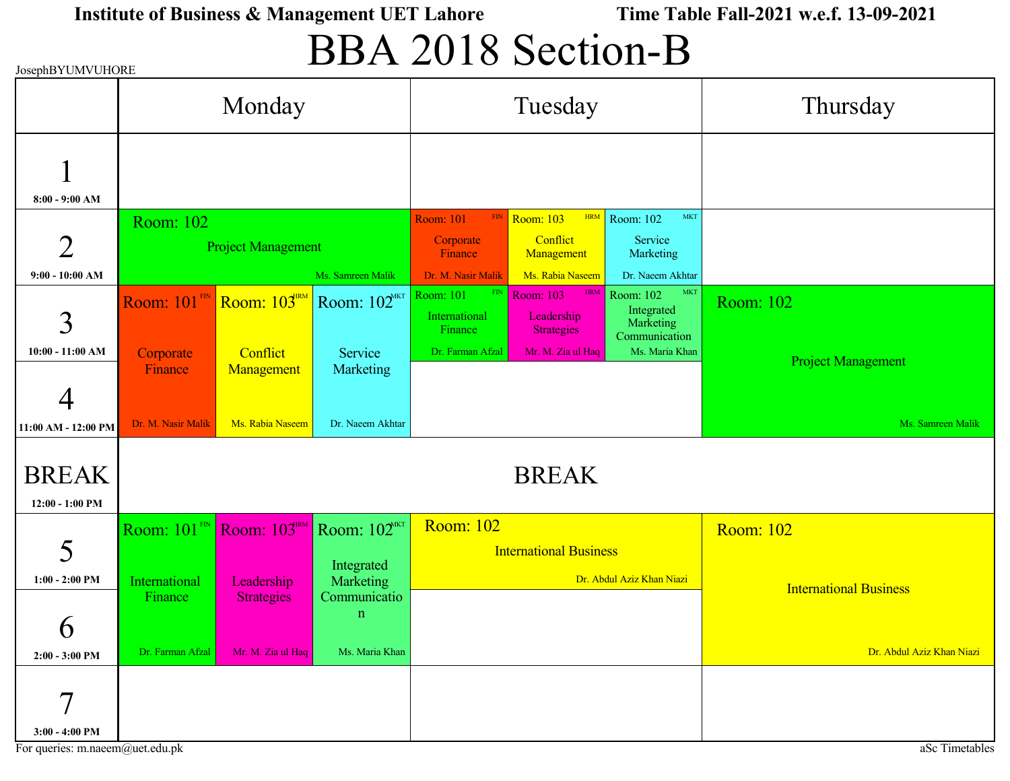JosephBYUMVUHORE

## BBA 2018 Section-B

|                                                     | Monday                               |                                                      | Tuesday                                                    |                                                                |                                                                                 | Thursday                                                                       |                                                            |
|-----------------------------------------------------|--------------------------------------|------------------------------------------------------|------------------------------------------------------------|----------------------------------------------------------------|---------------------------------------------------------------------------------|--------------------------------------------------------------------------------|------------------------------------------------------------|
| $8:00 - 9:00 AM$                                    |                                      |                                                      |                                                            |                                                                |                                                                                 |                                                                                |                                                            |
| $\overline{2}$<br>$9:00 - 10:00$ AM                 | Room: 102                            | <b>Project Management</b>                            | Ms. Samreen Malik                                          | <b>Room: 101</b><br>Corporate<br>Finance<br>Dr. M. Nasir Malik | HRM<br>Room: 103<br>Conflict<br>Management<br>Ms. Rabia Naseem                  | <b>MKT</b><br>Room: 102<br>Service<br>Marketing<br>Dr. Naeem Akhtar            |                                                            |
| 3<br>$10:00 - 11:00$ AM                             | <b>Room: 101 Fm</b><br>Corporate     | Room: 103 <sup>HRM</sup><br>Conflict                 | Room: 102 <sup>MKT</sup><br>Service                        | Room: 101<br>International<br>Finance<br>Dr. Farman Afzal      | HRM<br><b>Room: 103</b><br>Leadership<br><b>Strategies</b><br>Mr. M. Zia ul Haq | MKT<br>Room: 102<br>Integrated<br>Marketing<br>Communication<br>Ms. Maria Khan | <b>Room: 102</b>                                           |
| 4<br>11:00 AM - 12:00 PM                            | Finance<br>Dr. M. Nasir Malik        | Management<br>Ms. Rabia Naseem                       | Marketing<br>Dr. Naeem Akhtar                              |                                                                |                                                                                 |                                                                                | <b>Project Management</b><br>Ms. Samreen Malik             |
| <b>BREAK</b><br>$12:00 - 1:00$ PM                   |                                      |                                                      |                                                            |                                                                | <b>BREAK</b>                                                                    |                                                                                |                                                            |
| 5<br>$1:00 - 2:00$ PM                               | Room: 101FIN<br><b>International</b> | Room: 103 <sup>HRM</sup>                             | Room: 102 <sup>MKT</sup><br>Integrated                     | <b>Room: 102</b>                                               | <b>International Business</b>                                                   | Dr. Abdul Aziz Khan Niazi                                                      | <b>Room: 102</b>                                           |
| 6                                                   | Finance<br>Dr. Farman Afzal          | Leadership<br><b>Strategies</b><br>Mr. M. Zia ul Haq | Marketing<br>Communicatio<br>$\mathbf n$<br>Ms. Maria Khan |                                                                |                                                                                 |                                                                                | <b>International Business</b><br>Dr. Abdul Aziz Khan Niazi |
| $2:00 - 3:00$ PM<br>$\boldsymbol{\tau}$             |                                      |                                                      |                                                            |                                                                |                                                                                 |                                                                                |                                                            |
| $3:00 - 4:00$ PM<br>For queries: m.naeem@uet.edu.pk |                                      |                                                      |                                                            |                                                                |                                                                                 |                                                                                | aSc Timetables                                             |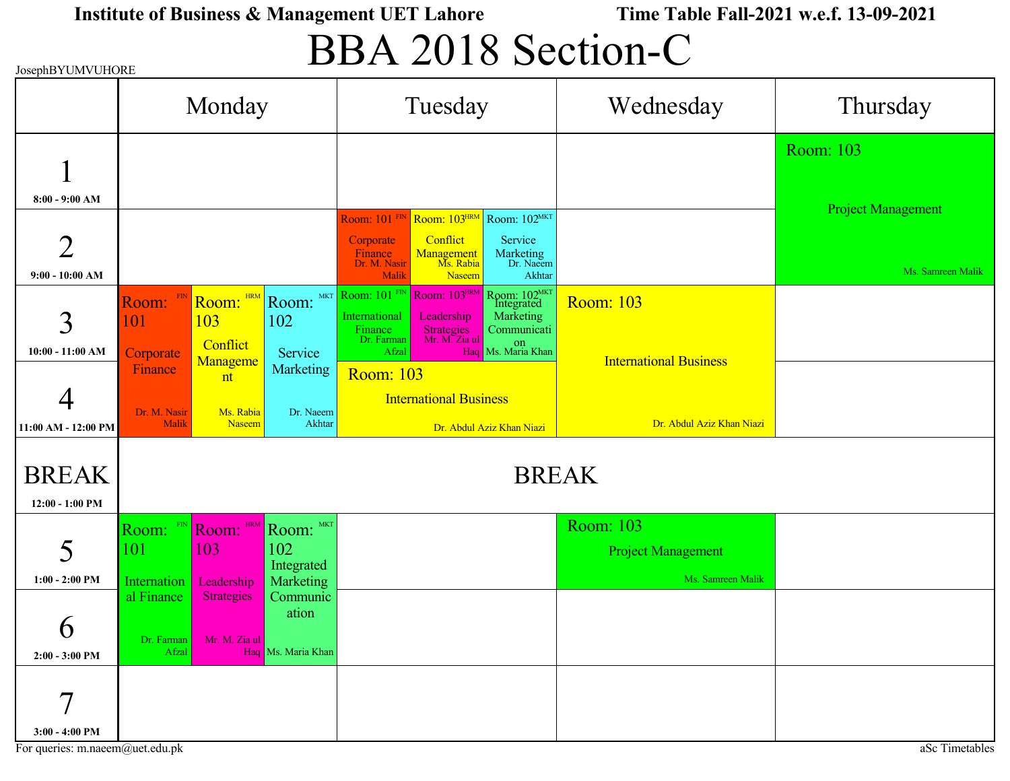## BBA 2018 Section-C

| JosephBYUMVUHORE                              |                                   |                                          |                                             |                                                                  |                                                                  | ∼                                                                                           |                                                                    |                                                |
|-----------------------------------------------|-----------------------------------|------------------------------------------|---------------------------------------------|------------------------------------------------------------------|------------------------------------------------------------------|---------------------------------------------------------------------------------------------|--------------------------------------------------------------------|------------------------------------------------|
|                                               | Monday                            |                                          | Tuesday                                     |                                                                  |                                                                  | Wednesday                                                                                   | Thursday                                                           |                                                |
| $8:00 - 9:00 AM$                              |                                   |                                          |                                             |                                                                  |                                                                  |                                                                                             |                                                                    | <b>Room: 103</b>                               |
| $\overline{2}$<br>$9:00 - 10:00 AM$           |                                   |                                          |                                             | Room: 101 FIN<br>Corporate<br>Finance<br>Dr. M. Nasir<br>Malik   | Room: 103HRM<br>Conflict<br>Management<br>Ms. Rabia<br>Naseem    | Room: 102MKT<br>Service<br>Marketing<br>Dr. Naeem<br>Akhtar                                 |                                                                    | <b>Project Management</b><br>Ms. Samreen Malik |
| 3<br>10:00 - 11:00 AM                         | Room: FIN<br>101<br>Corporate     | Room: HRM<br>103<br>Conflict             | Room: MKT<br>102<br>Service                 | Room: 101 FIN<br>International<br>Finance<br>Dr. Farman<br>Afzal | Room: 103HRM<br>Leadership<br><b>Strategies</b><br>Mr. M. Zia ul | Room: 102MKT<br>Marketing<br>Communicati<br><sup>'1a ul</sup> las. On<br>Haq Ms. Maria Khan | <b>Room: 103</b>                                                   |                                                |
| 11:00 AM - 12:00 PM                           | Finance<br>Dr. M. Nasir<br>Malik  | Manageme<br>nt<br>Ms. Rabia<br>Naseem    | Marketing<br>Dr. Naeem<br>Akhtar            | <b>Room: 103</b>                                                 | <b>International Business</b>                                    | Dr. Abdul Aziz Khan Niazi                                                                   | <b>International Business</b><br>Dr. Abdul Aziz Khan Niazi         |                                                |
| <b>BREAK</b><br>12:00 - 1:00 PM               |                                   |                                          |                                             |                                                                  |                                                                  |                                                                                             | <b>BREAK</b>                                                       |                                                |
| 5<br>$1:00 - 2:00$ PM                         | Room: FIN<br>101<br>Internation   | <b>HRM</b><br>Room:<br>103<br>Leadership | Room: MKT<br>102<br>Integrated<br>Marketing |                                                                  |                                                                  |                                                                                             | <b>Room: 103</b><br><b>Project Management</b><br>Ms. Samreen Malik |                                                |
| $\boldsymbol{\mathsf{O}}$<br>$2:00 - 3:00$ PM | al Finance<br>Dr. Farman<br>Afzal | Strategies<br>Mr. M. Zia ul              | Communic<br>ation<br>Haq Ms. Maria Khan     |                                                                  |                                                                  |                                                                                             |                                                                    |                                                |
| 7<br>$3:00 - 4:00$ PM                         |                                   |                                          |                                             |                                                                  |                                                                  |                                                                                             |                                                                    |                                                |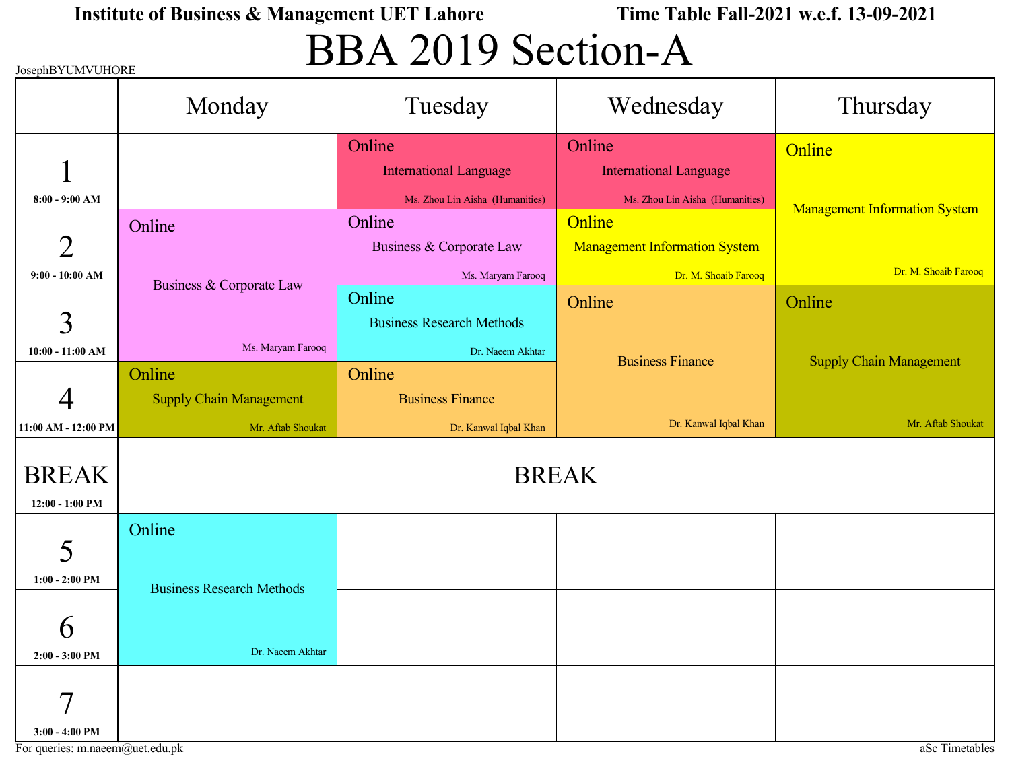## BBA 2019 Section-A

| JosephBYUMVUHORE                  |                                  |                                                      |                                                |                                                              |  |  |  |
|-----------------------------------|----------------------------------|------------------------------------------------------|------------------------------------------------|--------------------------------------------------------------|--|--|--|
|                                   | Monday                           | Tuesday                                              | Wednesday                                      | Thursday                                                     |  |  |  |
|                                   |                                  | Online<br><b>International Language</b>              | Online<br><b>International Language</b>        | Online                                                       |  |  |  |
| $8:00 - 9:00$ AM                  |                                  | Ms. Zhou Lin Aisha (Humanities)                      | Ms. Zhou Lin Aisha (Humanities)                |                                                              |  |  |  |
| $\overline{2}$                    | Online                           | Online<br>Business & Corporate Law                   | Online<br><b>Management Information System</b> | <b>Management Information System</b><br>Dr. M. Shoaib Farooq |  |  |  |
| $9:00 - 10:00$ AM                 | Business & Corporate Law         | Ms. Maryam Farooq<br>Online                          | Dr. M. Shoaib Farooq<br>Online                 | Online                                                       |  |  |  |
| 3<br>$10:00 - 11:00$ AM           | Ms. Maryam Farooq                | <b>Business Research Methods</b><br>Dr. Naeem Akhtar |                                                |                                                              |  |  |  |
|                                   | Online                           | Online                                               | <b>Business Finance</b>                        | <b>Supply Chain Management</b>                               |  |  |  |
|                                   | <b>Supply Chain Management</b>   | <b>Business Finance</b>                              |                                                |                                                              |  |  |  |
| 11:00 AM - 12:00 PM               | Mr. Aftab Shoukat                | Dr. Kanwal Iqbal Khan                                | Dr. Kanwal Iqbal Khan                          | Mr. Aftab Shoukat                                            |  |  |  |
| <b>BREAK</b><br>$12:00 - 1:00$ PM | <b>BREAK</b>                     |                                                      |                                                |                                                              |  |  |  |
| 5                                 | Online                           |                                                      |                                                |                                                              |  |  |  |
| $1:00 - 2:00$ PM                  | <b>Business Research Methods</b> |                                                      |                                                |                                                              |  |  |  |
| Q<br>$2:00 - 3:00$ PM             | Dr. Naeem Akhtar                 |                                                      |                                                |                                                              |  |  |  |
| $\tau$<br>$3:00 - 4:00$ PM        |                                  |                                                      |                                                |                                                              |  |  |  |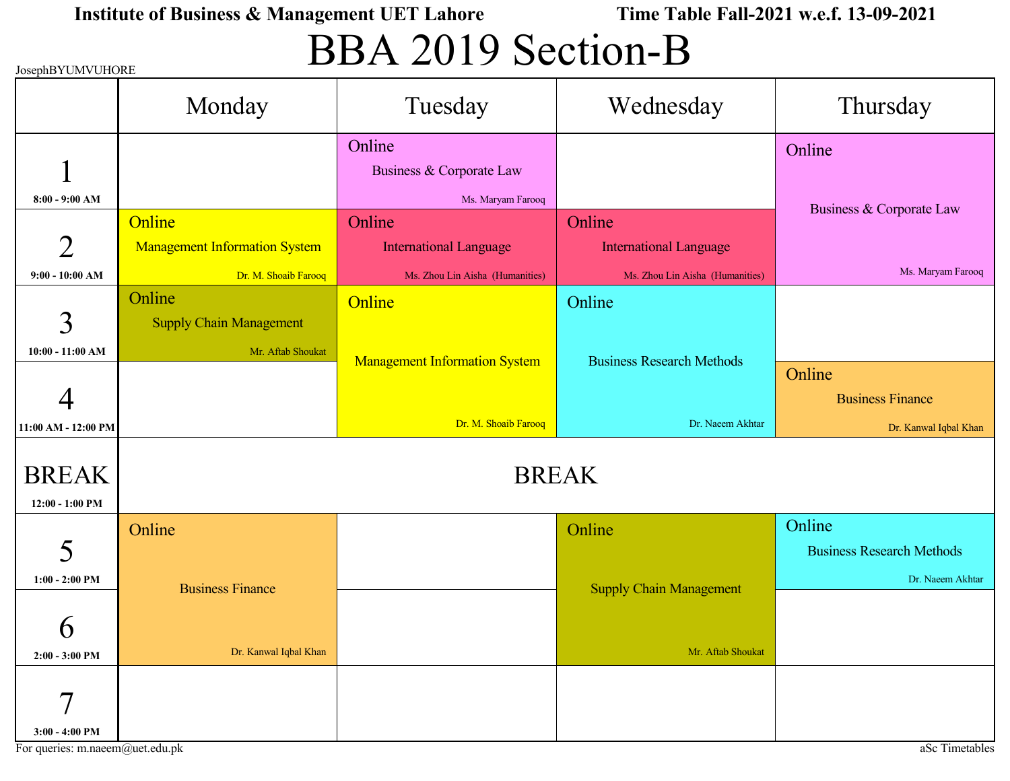## BBA 2019 Section-B

| JosephB Y UM V UHORE |                                      |                                      |                                  |                                  |
|----------------------|--------------------------------------|--------------------------------------|----------------------------------|----------------------------------|
|                      | Monday                               | Tuesday                              | Wednesday                        | Thursday                         |
|                      |                                      | Online                               |                                  | Online                           |
|                      |                                      | Business & Corporate Law             |                                  |                                  |
| $8:00 - 9:00$ AM     |                                      | Ms. Maryam Farooq                    |                                  | Business & Corporate Law         |
|                      | Online                               | Online                               | Online                           |                                  |
| $\overline{2}$       | <b>Management Information System</b> | <b>International Language</b>        | <b>International Language</b>    |                                  |
| $9:00 - 10:00$ AM    | Dr. M. Shoaib Farooq                 | Ms. Zhou Lin Aisha (Humanities)      | Ms. Zhou Lin Aisha (Humanities)  | Ms. Maryam Farooq                |
|                      | Online                               | Online                               | Online                           |                                  |
| 3                    | <b>Supply Chain Management</b>       |                                      |                                  |                                  |
| $10:00 - 11:00$ AM   | Mr. Aftab Shoukat                    | <b>Management Information System</b> | <b>Business Research Methods</b> |                                  |
|                      |                                      |                                      |                                  | Online                           |
|                      |                                      |                                      |                                  | <b>Business Finance</b>          |
| 11:00 AM - 12:00 PM  |                                      | Dr. M. Shoaib Farooq                 | Dr. Naeem Akhtar                 | Dr. Kanwal Iqbal Khan            |
|                      |                                      |                                      |                                  |                                  |
| <b>BREAK</b>         |                                      |                                      | <b>BREAK</b>                     |                                  |
| 12:00 - 1:00 PM      |                                      |                                      |                                  |                                  |
|                      | Online                               |                                      | Online                           | Online                           |
| 5                    |                                      |                                      |                                  | <b>Business Research Methods</b> |
| $1:00 - 2:00$ PM     | <b>Business Finance</b>              |                                      | <b>Supply Chain Management</b>   | Dr. Naeem Akhtar                 |
|                      |                                      |                                      |                                  |                                  |
| 6                    |                                      |                                      |                                  |                                  |
| $2:00 - 3:00$ PM     | Dr. Kanwal Iqbal Khan                |                                      | Mr. Aftab Shoukat                |                                  |
|                      |                                      |                                      |                                  |                                  |
|                      |                                      |                                      |                                  |                                  |
| $3:00 - 4:00$ PM     |                                      |                                      |                                  |                                  |

For queries: m.naeem@uet.edu.pk aSc Timetables

 $J$ byun  $B$ uusopp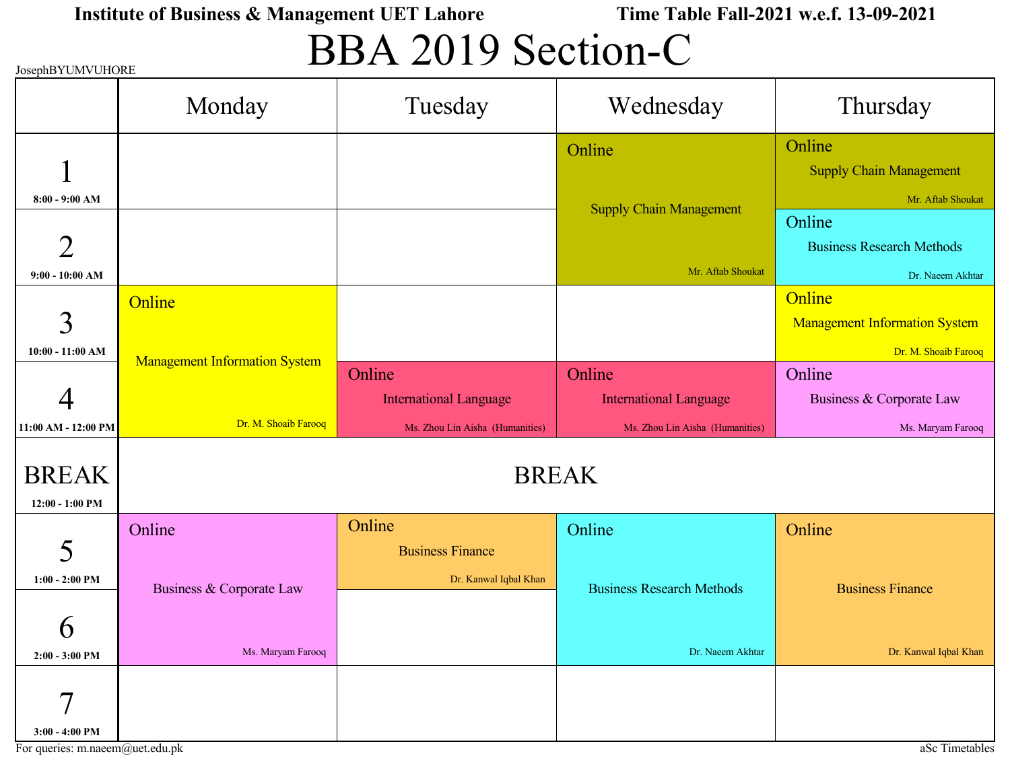# BBA 2019 Section-C

| JosephBYUMVUHORE                        |                                      |                                   |                                  |                                                                        |
|-----------------------------------------|--------------------------------------|-----------------------------------|----------------------------------|------------------------------------------------------------------------|
|                                         | Monday                               | Tuesday                           | Wednesday                        | Thursday                                                               |
|                                         |                                      |                                   | Online                           | Online<br><b>Supply Chain Management</b>                               |
| $8:00 - 9:00$ AM<br>$\overline{2}$      |                                      |                                   | <b>Supply Chain Management</b>   | Mr. Aftab Shoukat<br>Online<br><b>Business Research Methods</b>        |
| $9:00 - 10:00 AM$                       |                                      |                                   | Mr. Aftab Shoukat                | Dr. Naeem Akhtar                                                       |
| 3                                       | Online                               |                                   |                                  | Online<br><b>Management Information System</b><br>Dr. M. Shoaib Farooq |
| $10:00 - 11:00 AM$                      | <b>Management Information System</b> | Online                            | Online                           | Online                                                                 |
|                                         |                                      | <b>International Language</b>     | <b>International Language</b>    | Business & Corporate Law                                               |
| 11:00 AM - 12:00 PM                     | Dr. M. Shoaib Farooq                 | Ms. Zhou Lin Aisha (Humanities)   | Ms. Zhou Lin Aisha (Humanities)  | Ms. Maryam Farooq                                                      |
| <b>BREAK</b><br>$12:00 - 1:00$ PM       |                                      |                                   | <b>BREAK</b>                     |                                                                        |
| 5                                       | Online                               | Online<br><b>Business Finance</b> | Online                           | Online                                                                 |
| $1:00 - 2:00$ PM                        | Business & Corporate Law             | Dr. Kanwal Iqbal Khan             | <b>Business Research Methods</b> | <b>Business Finance</b>                                                |
| h<br>$2:00 - 3:00$ PM                   | Ms. Maryam Farooq                    |                                   | Dr. Naeem Akhtar                 | Dr. Kanwal Iqbal Khan                                                  |
| $\boldsymbol{\tau}$<br>$3:00 - 4:00$ PM |                                      |                                   |                                  |                                                                        |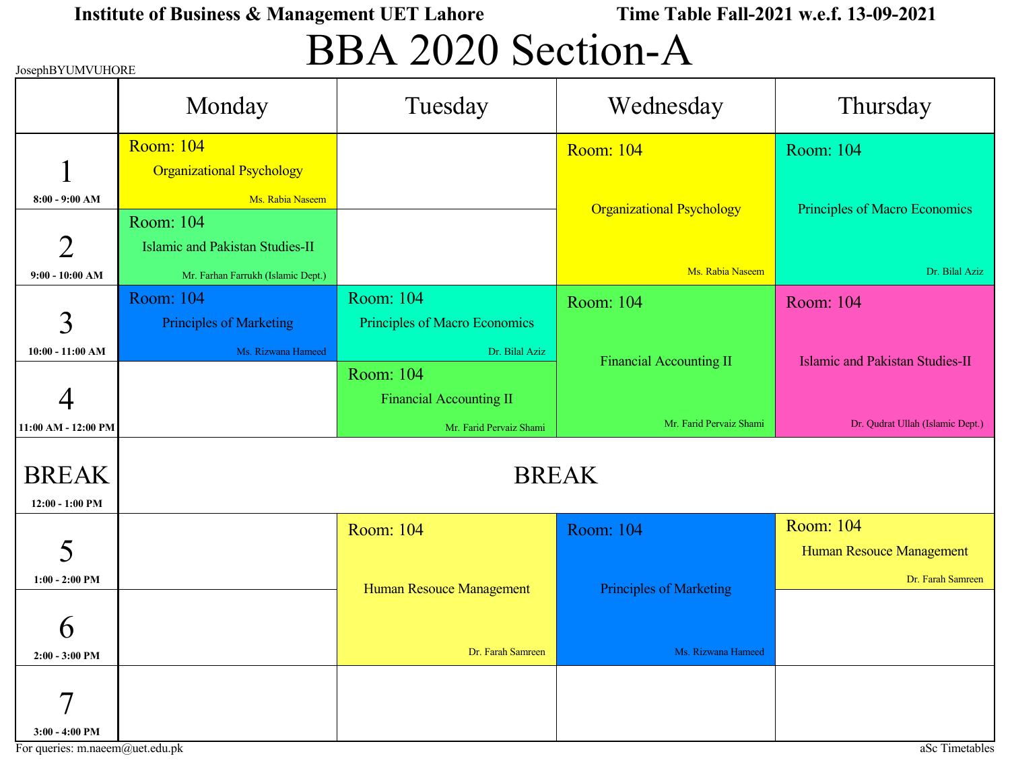## BBA 2020 Section-A

| JosephBYUMVUHORE                        |                                        |                                |                                  |                                  |  |  |
|-----------------------------------------|----------------------------------------|--------------------------------|----------------------------------|----------------------------------|--|--|
|                                         | Monday                                 | Tuesday                        | Wednesday                        | Thursday                         |  |  |
|                                         | <b>Room: 104</b>                       |                                | <b>Room: 104</b>                 | <b>Room: 104</b>                 |  |  |
|                                         | <b>Organizational Psychology</b>       |                                |                                  |                                  |  |  |
| $8:00 - 9:00$ AM                        | Ms. Rabia Naseem                       |                                | <b>Organizational Psychology</b> | Principles of Macro Economics    |  |  |
|                                         | Room: 104                              |                                |                                  |                                  |  |  |
| $\overline{2}$                          | <b>Islamic and Pakistan Studies-II</b> |                                |                                  |                                  |  |  |
| $9:00 - 10:00$ AM                       | Mr. Farhan Farrukh (Islamic Dept.)     |                                | Ms. Rabia Naseem                 | Dr. Bilal Aziz                   |  |  |
|                                         | <b>Room: 104</b>                       | Room: 104                      | Room: 104                        | Room: 104                        |  |  |
| 3                                       | Principles of Marketing                | Principles of Macro Economics  |                                  |                                  |  |  |
| $10:00 - 11:00$ AM                      | Ms. Rizwana Hameed                     | Dr. Bilal Aziz                 | <b>Financial Accounting II</b>   | Islamic and Pakistan Studies-II  |  |  |
|                                         |                                        | Room: 104                      |                                  |                                  |  |  |
|                                         |                                        | <b>Financial Accounting II</b> |                                  |                                  |  |  |
| 11:00 AM - 12:00 PM                     |                                        | Mr. Farid Pervaiz Shami        | Mr. Farid Pervaiz Shami          | Dr. Qudrat Ullah (Islamic Dept.) |  |  |
| <b>BREAK</b><br>$12:00 - 1:00$ PM       | <b>BREAK</b>                           |                                |                                  |                                  |  |  |
|                                         |                                        | <b>Room: 104</b>               | <b>Room: 104</b>                 | <b>Room: 104</b>                 |  |  |
| 5                                       |                                        |                                |                                  | Human Resouce Management         |  |  |
| $1:00 - 2:00$ PM                        |                                        | Human Resouce Management       | <b>Principles of Marketing</b>   | Dr. Farah Samreen                |  |  |
|                                         |                                        |                                |                                  |                                  |  |  |
| Q                                       |                                        |                                |                                  |                                  |  |  |
| $2:00 - 3:00$ PM                        |                                        | Dr. Farah Samreen              | Ms. Rizwana Hameed               |                                  |  |  |
| $\boldsymbol{\tau}$<br>$3:00 - 4:00$ PM |                                        |                                |                                  |                                  |  |  |

For queries: m.naeem@uet.edu.pk aSc Timetables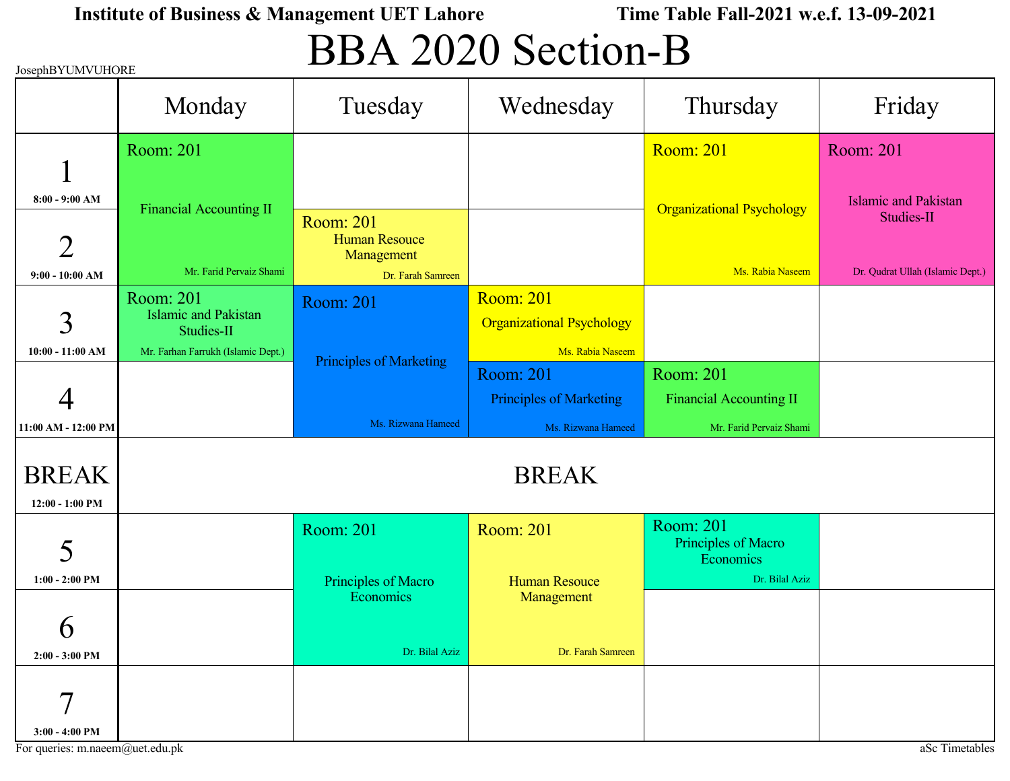# BBA 2020 Section-B

| JosephBYUMVUHORE                        |                                                        |                                          |                                                      |                                                      |                                           |  |
|-----------------------------------------|--------------------------------------------------------|------------------------------------------|------------------------------------------------------|------------------------------------------------------|-------------------------------------------|--|
|                                         | Monday                                                 | Tuesday                                  | Wednesday                                            | Thursday                                             | Friday                                    |  |
|                                         | Room: 201                                              |                                          |                                                      | <b>Room: 201</b>                                     | Room: 201                                 |  |
| $8:00 - 9:00$ AM                        | <b>Financial Accounting II</b>                         | <b>Room: 201</b><br><b>Human Resouce</b> |                                                      | <b>Organizational Psychology</b>                     | <b>Islamic and Pakistan</b><br>Studies-II |  |
| $\overline{2}$<br>$9:00 - 10:00$ AM     | Mr. Farid Pervaiz Shami                                | Management<br>Dr. Farah Samreen          |                                                      | Ms. Rabia Naseem                                     | Dr. Qudrat Ullah (Islamic Dept.)          |  |
| 3                                       | Room: 201<br><b>Islamic and Pakistan</b><br>Studies-II | <b>Room: 201</b>                         | <b>Room: 201</b><br><b>Organizational Psychology</b> |                                                      |                                           |  |
| $10:00 - 11:00$ AM                      | Mr. Farhan Farrukh (Islamic Dept.)                     | <b>Principles of Marketing</b>           | Ms. Rabia Naseem                                     |                                                      |                                           |  |
|                                         |                                                        |                                          | <b>Room: 201</b>                                     | Room: 201                                            |                                           |  |
|                                         |                                                        |                                          | <b>Principles of Marketing</b>                       | <b>Financial Accounting II</b>                       |                                           |  |
| 11:00 AM - 12:00 PM                     |                                                        | Ms. Rizwana Hameed                       | Ms. Rizwana Hameed                                   | Mr. Farid Pervaiz Shami                              |                                           |  |
| <b>BREAK</b><br>$12:00 - 1:00$ PM       | <b>BREAK</b>                                           |                                          |                                                      |                                                      |                                           |  |
| 5                                       |                                                        | Room: 201                                | <b>Room: 201</b>                                     | <b>Room: 201</b><br>Principles of Macro<br>Economics |                                           |  |
| $1:00 - 2:00$ PM                        |                                                        | Principles of Macro<br>Economics         | <b>Human Resouce</b><br>Management                   | Dr. Bilal Aziz                                       |                                           |  |
| h                                       |                                                        | Dr. Bilal Aziz                           | Dr. Farah Samreen                                    |                                                      |                                           |  |
| $2:00 - 3:00$ PM                        |                                                        |                                          |                                                      |                                                      |                                           |  |
| $\boldsymbol{\tau}$<br>$3:00 - 4:00$ PM |                                                        |                                          |                                                      |                                                      |                                           |  |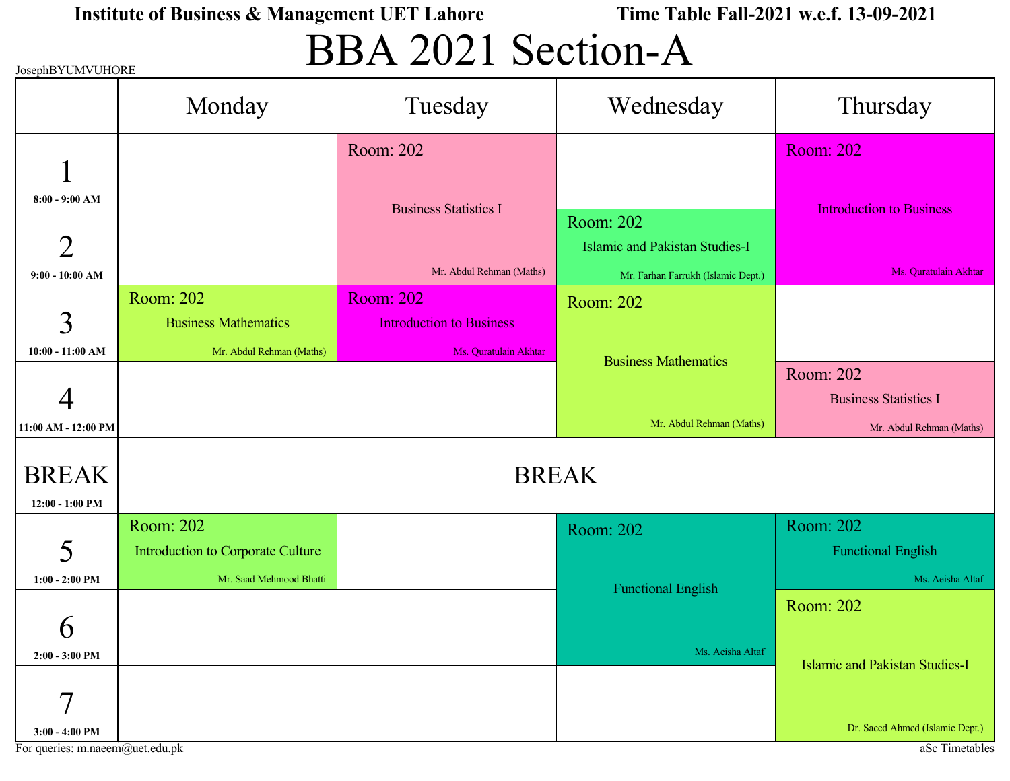# BBA 2021 Section-A

| JosephBYUMVUHORE                    |                                                |                                                     |                                                                             |                                                          |
|-------------------------------------|------------------------------------------------|-----------------------------------------------------|-----------------------------------------------------------------------------|----------------------------------------------------------|
|                                     | Monday                                         | Tuesday                                             | Wednesday                                                                   | Thursday                                                 |
|                                     |                                                | Room: 202                                           |                                                                             | <b>Room: 202</b>                                         |
| $8:00 - 9:00 AM$                    |                                                | <b>Business Statistics I</b>                        | Room: 202                                                                   | <b>Introduction to Business</b>                          |
| $\overline{2}$<br>$9:00 - 10:00 AM$ |                                                | Mr. Abdul Rehman (Maths)                            | <b>Islamic and Pakistan Studies-I</b><br>Mr. Farhan Farrukh (Islamic Dept.) | Ms. Quratulain Akhtar                                    |
| 3                                   | Room: 202<br><b>Business Mathematics</b>       | <b>Room: 202</b><br><b>Introduction to Business</b> | Room: 202                                                                   |                                                          |
| $10:00 - 11:00 AM$                  | Mr. Abdul Rehman (Maths)                       | Ms. Quratulain Akhtar                               | <b>Business Mathematics</b>                                                 | Room: 202                                                |
| 11:00 AM - 12:00 PM                 |                                                |                                                     | Mr. Abdul Rehman (Maths)                                                    | <b>Business Statistics I</b><br>Mr. Abdul Rehman (Maths) |
| <b>BREAK</b><br>$12:00 - 1:00$ PM   |                                                |                                                     | <b>BREAK</b>                                                                |                                                          |
| 5                                   | Room: 202<br>Introduction to Corporate Culture |                                                     | Room: 202                                                                   | Room: 202<br><b>Functional English</b>                   |
| $1:00 - 2:00$ PM                    | Mr. Saad Mehmood Bhatti                        |                                                     | <b>Functional English</b>                                                   | Ms. Aeisha Altaf<br>Room: 202                            |
| $\mathbf b$<br>$2:00 - 3:00$ PM     |                                                |                                                     | Ms. Aeisha Altaf                                                            | <b>Islamic and Pakistan Studies-I</b>                    |
| $\tau$<br>$3:00 - 4:00$ PM          |                                                |                                                     |                                                                             | Dr. Saeed Ahmed (Islamic Dept.)                          |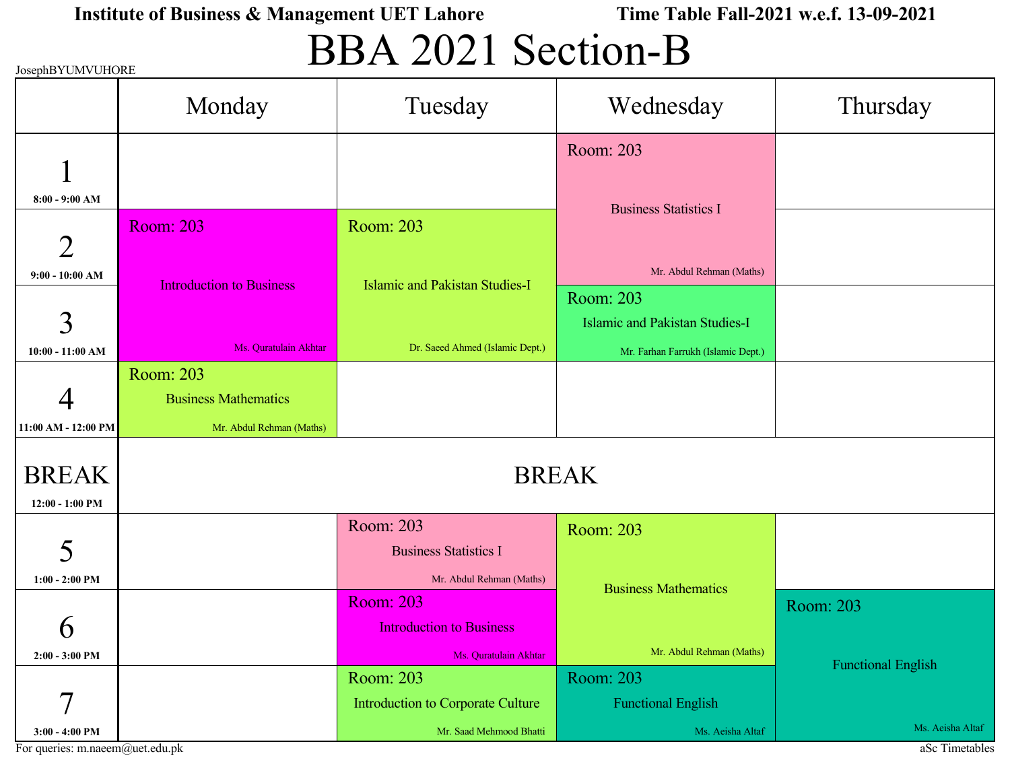## BBA 2021 Section-B

| JOSEPHB Y UM V UHORE |                                 |                                       |                                       |                           |
|----------------------|---------------------------------|---------------------------------------|---------------------------------------|---------------------------|
|                      | Monday                          | Tuesday                               | Wednesday                             | Thursday                  |
|                      |                                 |                                       | Room: 203                             |                           |
|                      |                                 |                                       |                                       |                           |
| $8:00 - 9:00 AM$     |                                 |                                       | <b>Business Statistics I</b>          |                           |
| $\overline{2}$       | <b>Room: 203</b>                | Room: 203                             |                                       |                           |
| $9:00 - 10:00 AM$    | <b>Introduction to Business</b> | <b>Islamic and Pakistan Studies-I</b> | Mr. Abdul Rehman (Maths)              |                           |
|                      |                                 |                                       | Room: 203                             |                           |
| $\overline{3}$       |                                 |                                       | <b>Islamic and Pakistan Studies-I</b> |                           |
| $10:00 - 11:00 AM$   | Ms. Ouratulain Akhtar           | Dr. Saeed Ahmed (Islamic Dept.)       | Mr. Farhan Farrukh (Islamic Dept.)    |                           |
|                      | Room: 203                       |                                       |                                       |                           |
|                      | <b>Business Mathematics</b>     |                                       |                                       |                           |
| 11:00 AM - 12:00 PM  | Mr. Abdul Rehman (Maths)        |                                       |                                       |                           |
|                      |                                 |                                       |                                       |                           |
| <b>BREAK</b>         |                                 |                                       | <b>BREAK</b>                          |                           |
| 12:00 - 1:00 PM      |                                 |                                       |                                       |                           |
|                      |                                 | Room: 203                             | Room: 203                             |                           |
| 5                    |                                 | <b>Business Statistics I</b>          |                                       |                           |
| $1:00 - 2:00$ PM     |                                 | Mr. Abdul Rehman (Maths)              | <b>Business Mathematics</b>           |                           |
|                      |                                 | <b>Room: 203</b>                      |                                       | Room: 203                 |
| Ò                    |                                 | <b>Introduction to Business</b>       |                                       |                           |
| $2:00 - 3:00$ PM     |                                 | Ms. Quratulain Akhtar                 | Mr. Abdul Rehman (Maths)              | <b>Functional English</b> |
|                      |                                 | Room: 203                             | Room: 203                             |                           |
| $\mathcal{I}$        |                                 | Introduction to Corporate Culture     | <b>Functional English</b>             |                           |
| $3:00 - 4:00$ PM     |                                 | Mr. Saad Mehmood Bhatti               | Ms. Aeisha Altaf                      | Ms. Aeisha Altaf          |

For queries: m.naeem@uet.edu.pk aSc Timetables

 $\mathbf{D}$ VUHORE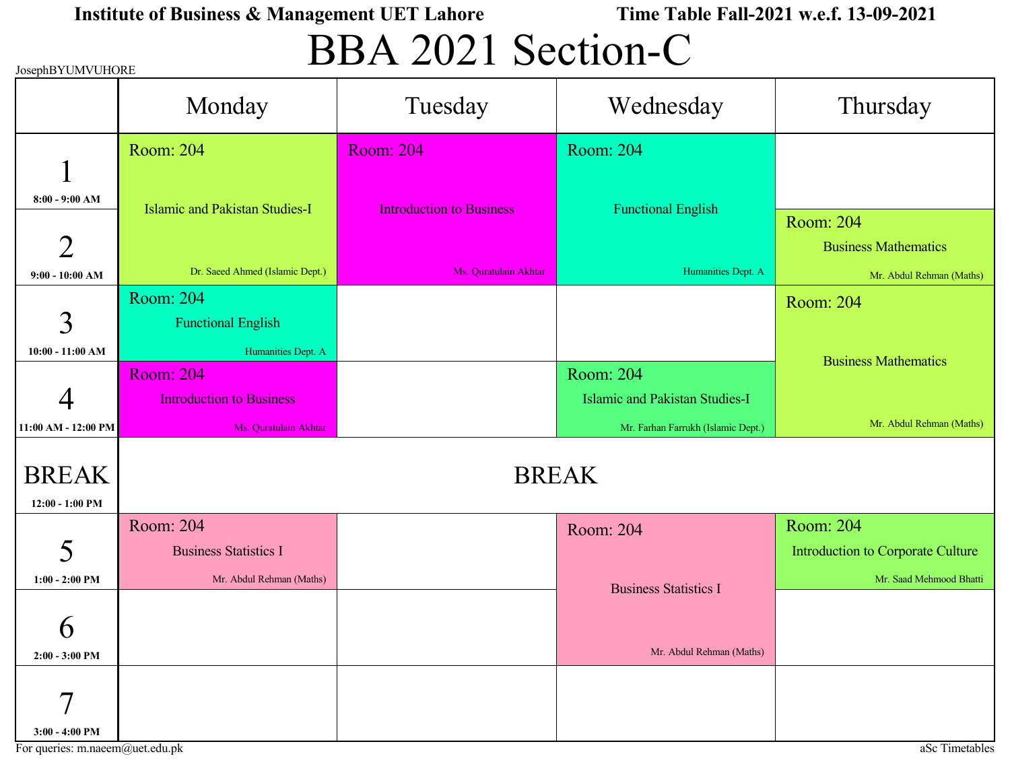# BBA 2021 Section-C

|                     | JosephBYUMVUHORE                      |                                 |                                       |                                          |  |  |  |
|---------------------|---------------------------------------|---------------------------------|---------------------------------------|------------------------------------------|--|--|--|
|                     | Monday                                | Tuesday                         | Wednesday                             | Thursday                                 |  |  |  |
|                     | Room: 204                             | <b>Room: 204</b>                | <b>Room: 204</b>                      |                                          |  |  |  |
| $8:00 - 9:00 AM$    | <b>Islamic and Pakistan Studies-I</b> | <b>Introduction to Business</b> | <b>Functional English</b>             |                                          |  |  |  |
|                     |                                       |                                 |                                       | Room: 204                                |  |  |  |
| $\overline{2}$      |                                       |                                 |                                       | <b>Business Mathematics</b>              |  |  |  |
| $9:00 - 10:00$ AM   | Dr. Saeed Ahmed (Islamic Dept.)       | Ms. Quratulain Akhtar           | Humanities Dept. A                    | Mr. Abdul Rehman (Maths)                 |  |  |  |
|                     | <b>Room: 204</b>                      |                                 |                                       | Room: 204                                |  |  |  |
| 3                   | <b>Functional English</b>             |                                 |                                       |                                          |  |  |  |
| $10:00 - 11:00$ AM  | Humanities Dept. A                    |                                 |                                       | <b>Business Mathematics</b>              |  |  |  |
|                     | <b>Room: 204</b>                      |                                 | Room: 204                             |                                          |  |  |  |
|                     | <b>Introduction to Business</b>       |                                 | <b>Islamic and Pakistan Studies-I</b> |                                          |  |  |  |
| 11:00 AM - 12:00 PM | Ms. Quratulain Akhtar                 |                                 | Mr. Farhan Farrukh (Islamic Dept.)    | Mr. Abdul Rehman (Maths)                 |  |  |  |
| <b>BREAK</b>        |                                       |                                 | <b>BREAK</b>                          |                                          |  |  |  |
| 12:00 - 1:00 PM     |                                       |                                 |                                       |                                          |  |  |  |
|                     | Room: 204                             |                                 | Room: 204                             | Room: 204                                |  |  |  |
| 5                   | <b>Business Statistics I</b>          |                                 |                                       | <b>Introduction to Corporate Culture</b> |  |  |  |
| $1:00 - 2:00$ PM    | Mr. Abdul Rehman (Maths)              |                                 | <b>Business Statistics I</b>          | Mr. Saad Mehmood Bhatti                  |  |  |  |
|                     |                                       |                                 |                                       |                                          |  |  |  |
| Ŋ                   |                                       |                                 |                                       |                                          |  |  |  |
| $2:00 - 3:00$ PM    |                                       |                                 | Mr. Abdul Rehman (Maths)              |                                          |  |  |  |
| 7                   |                                       |                                 |                                       |                                          |  |  |  |
|                     |                                       |                                 |                                       |                                          |  |  |  |
| $3:00 - 4:00$ PM    |                                       |                                 |                                       |                                          |  |  |  |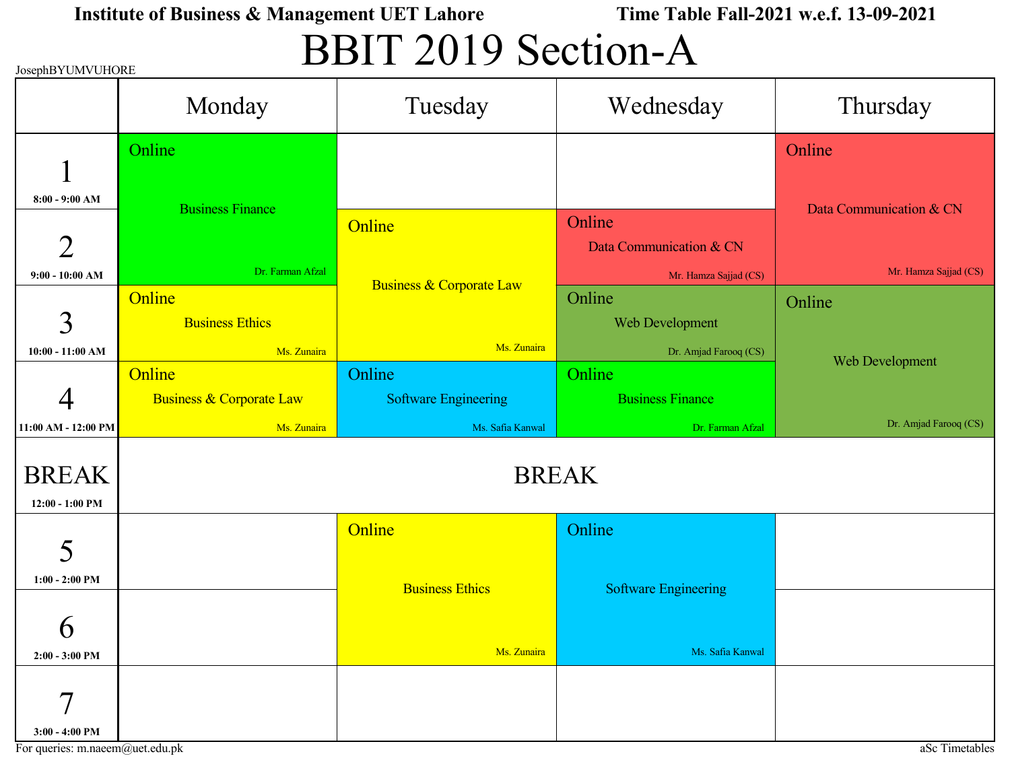## BBIT 2019 Section-A

| JOSEPINB Y UM V UHURE |                                     |                                     |                                   |                         |
|-----------------------|-------------------------------------|-------------------------------------|-----------------------------------|-------------------------|
|                       | Monday                              | Tuesday                             | Wednesday                         | Thursday                |
|                       | Online                              |                                     |                                   | Online                  |
| $8:00 - 9:00$ AM      | <b>Business Finance</b>             |                                     |                                   | Data Communication & CN |
| $\overline{2}$        |                                     | Online                              | Online<br>Data Communication & CN |                         |
|                       | Dr. Farman Afzal                    |                                     |                                   | Mr. Hamza Sajjad (CS)   |
| $9:00 - 10:00$ AM     |                                     | <b>Business &amp; Corporate Law</b> | Mr. Hamza Sajjad (CS)             |                         |
| $\overline{3}$        | Online<br><b>Business Ethics</b>    |                                     | Online<br>Web Development         | Online                  |
| $10:00 - 11:00$ AM    | Ms. Zunaira                         | Ms. Zunaira                         | Dr. Amjad Farooq (CS)             |                         |
|                       | Online                              | Online                              | Online                            | Web Development         |
|                       | <b>Business &amp; Corporate Law</b> | <b>Software Engineering</b>         | <b>Business Finance</b>           |                         |
| 11:00 AM - 12:00 PM   | Ms. Zunaira                         | Ms. Safia Kanwal                    | Dr. Farman Afzal                  | Dr. Amjad Farooq (CS)   |
|                       |                                     |                                     |                                   |                         |
| <b>BREAK</b>          |                                     |                                     | <b>BREAK</b>                      |                         |
| $12:00 - 1:00$ PM     |                                     |                                     |                                   |                         |
|                       |                                     | Online                              | Online                            |                         |
| 5                     |                                     |                                     |                                   |                         |
| $1:00 - 2:00$ PM      |                                     |                                     |                                   |                         |
|                       |                                     | <b>Business Ethics</b>              | <b>Software Engineering</b>       |                         |
| Ò                     |                                     |                                     |                                   |                         |
| $2:00 - 3:00$ PM      |                                     | Ms. Zunaira                         | Ms. Safia Kanwal                  |                         |
|                       |                                     |                                     |                                   |                         |
| $\tau$                |                                     |                                     |                                   |                         |
| $3:00 - 4:00$ PM      |                                     |                                     |                                   |                         |

For queries: m.naeem@uet.edu.pk aSc Timetables

 $J$ byun  $B$ umvobr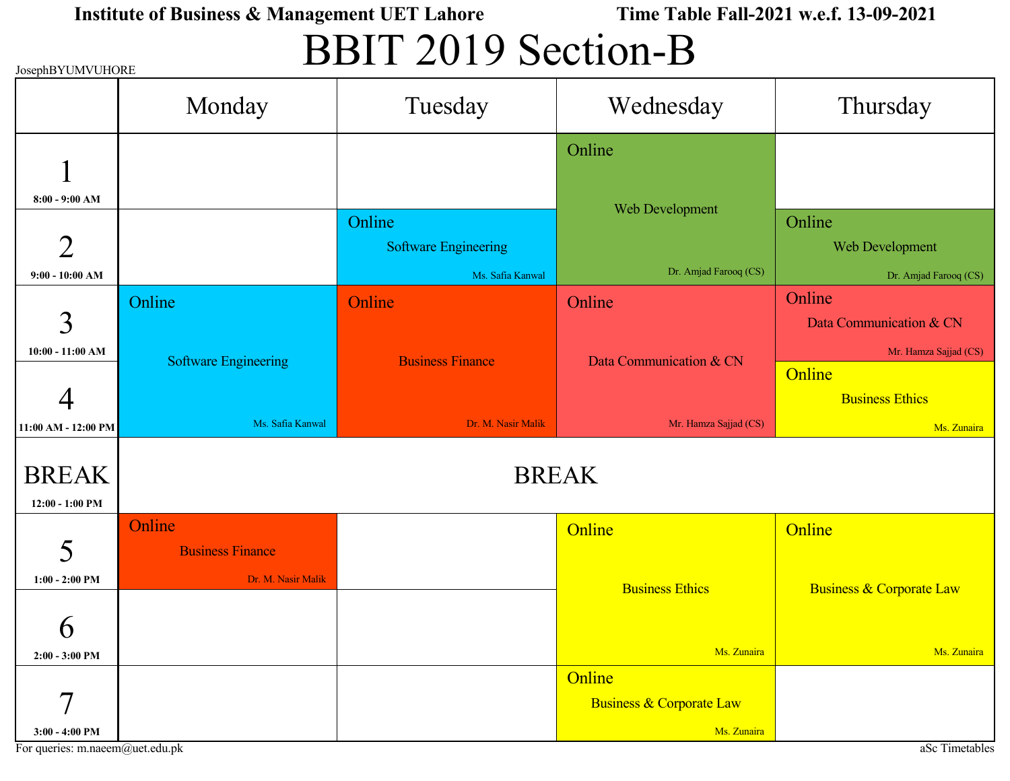## BBIT 2019 Section-B

| JosephBYUMVUHORE    |                             |                             |                          |                                     |  |  |
|---------------------|-----------------------------|-----------------------------|--------------------------|-------------------------------------|--|--|
|                     | Monday                      | Tuesday                     | Wednesday                | Thursday                            |  |  |
|                     |                             |                             | Online                   |                                     |  |  |
| $8:00 - 9:00$ AM    |                             |                             |                          |                                     |  |  |
|                     |                             | Online                      | Web Development          | Online                              |  |  |
| $\overline{2}$      |                             | <b>Software Engineering</b> |                          | Web Development                     |  |  |
| $9:00 - 10:00$ AM   |                             | Ms. Safia Kanwal            | Dr. Amjad Farooq (CS)    | Dr. Amjad Farooq (CS)               |  |  |
|                     | Online                      | Online                      | Online                   | Online                              |  |  |
| 3                   |                             |                             |                          | Data Communication & CN             |  |  |
| $10:00 - 11:00 AM$  | <b>Software Engineering</b> | <b>Business Finance</b>     | Data Communication & CN  | Mr. Hamza Sajjad (CS)               |  |  |
|                     |                             |                             |                          | Online<br><b>Business Ethics</b>    |  |  |
|                     | Ms. Safia Kanwal            | Dr. M. Nasir Malik          | Mr. Hamza Sajjad (CS)    | Ms. Zunaira                         |  |  |
| 11:00 AM - 12:00 PM |                             |                             |                          |                                     |  |  |
| <b>BREAK</b>        | <b>BREAK</b>                |                             |                          |                                     |  |  |
| $12:00 - 1:00$ PM   |                             |                             |                          |                                     |  |  |
|                     | Online                      |                             | Online                   | Online                              |  |  |
| 5                   | <b>Business Finance</b>     |                             |                          |                                     |  |  |
| $1:00 - 2:00$ PM    | Dr. M. Nasir Malik          |                             | <b>Business Ethics</b>   | <b>Business &amp; Corporate Law</b> |  |  |
|                     |                             |                             |                          |                                     |  |  |
| $\mathbf b$         |                             |                             |                          |                                     |  |  |
| $2:00 - 3:00$ PM    |                             |                             | Ms. Zunaira              | Ms. Zunaira                         |  |  |
| $\tau$              |                             |                             | Online                   |                                     |  |  |
|                     |                             |                             | Business & Corporate Law |                                     |  |  |
| $3:00 - 4:00$ PM    |                             |                             | Ms. Zunaira              |                                     |  |  |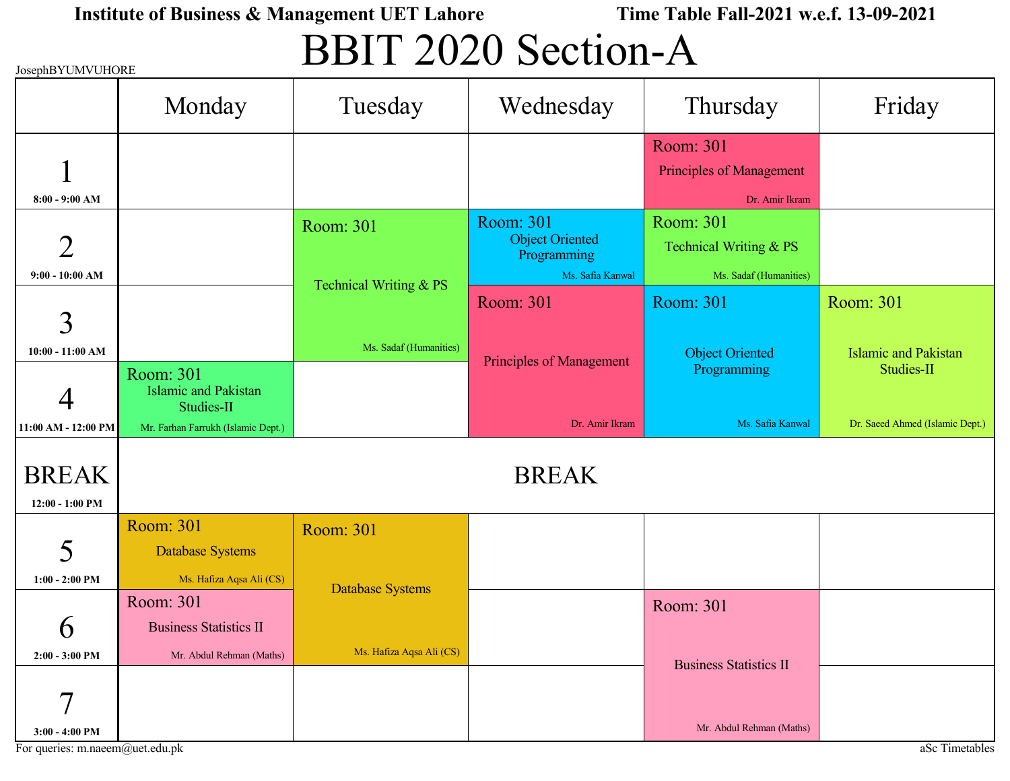# BBIT 2020 Section-A

| JosephBYUMVUHORE    |                                           |                          |                                       |                                 |                                 |
|---------------------|-------------------------------------------|--------------------------|---------------------------------------|---------------------------------|---------------------------------|
|                     | Monday                                    | Tuesday                  | Wednesday                             | Thursday                        | Friday                          |
|                     |                                           |                          |                                       | Room: 301                       |                                 |
|                     |                                           |                          |                                       | <b>Principles of Management</b> |                                 |
| $8:00 - 9:00$ AM    |                                           |                          |                                       | Dr. Amir Ikram                  |                                 |
|                     |                                           | Room: 301                | <b>Room: 301</b>                      | Room: 301                       |                                 |
| $\overline{2}$      |                                           |                          | <b>Object Oriented</b><br>Programming | Technical Writing & PS          |                                 |
| $9:00 - 10:00 AM$   |                                           |                          | Ms. Safia Kanwal                      | Ms. Sadaf (Humanities)          |                                 |
|                     |                                           | Technical Writing & PS   | Room: 301                             | <b>Room: 301</b>                | Room: 301                       |
| 3                   |                                           |                          |                                       |                                 |                                 |
| $10:00 - 11:00 AM$  |                                           | Ms. Sadaf (Humanities)   | <b>Principles of Management</b>       | <b>Object Oriented</b>          | <b>Islamic and Pakistan</b>     |
|                     | Room: 301                                 |                          |                                       | Programming                     | Studies-II                      |
|                     | <b>Islamic and Pakistan</b><br>Studies-II |                          |                                       |                                 |                                 |
| 11:00 AM - 12:00 PM | Mr. Farhan Farrukh (Islamic Dept.)        |                          | Dr. Amir Ikram                        | Ms. Safia Kanwal                | Dr. Saeed Ahmed (Islamic Dept.) |
|                     |                                           |                          |                                       |                                 |                                 |
| <b>BREAK</b>        |                                           |                          | <b>BREAK</b>                          |                                 |                                 |
| $12:00 - 1:00$ PM   |                                           |                          |                                       |                                 |                                 |
|                     | <b>Room: 301</b>                          | <b>Room: 301</b>         |                                       |                                 |                                 |
| 5                   | <b>Database Systems</b>                   |                          |                                       |                                 |                                 |
| $1:00 - 2:00$ PM    | Ms. Hafiza Aqsa Ali (CS)                  | <b>Database Systems</b>  |                                       |                                 |                                 |
|                     | Room: 301                                 |                          |                                       | Room: 301                       |                                 |
| h                   | <b>Business Statistics II</b>             |                          |                                       |                                 |                                 |
| $2:00 - 3:00$ PM    | Mr. Abdul Rehman (Maths)                  | Ms. Hafiza Aqsa Ali (CS) |                                       | <b>Business Statistics II</b>   |                                 |
|                     |                                           |                          |                                       |                                 |                                 |
| $\tau$              |                                           |                          |                                       |                                 |                                 |
| $3:00 - 4:00$ PM    |                                           |                          |                                       | Mr. Abdul Rehman (Maths)        |                                 |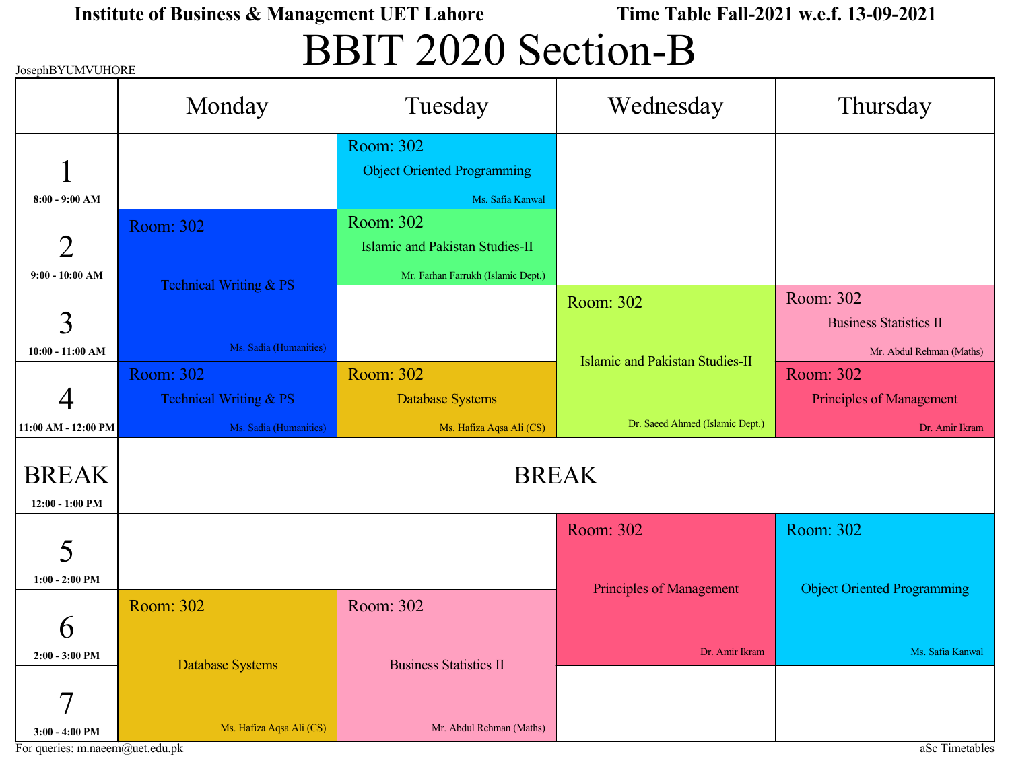## BBIT 2020 Section-B

| JosephBYUMVUHORE                        |                                                  |                                                                                           |                                        |                                                   |  |
|-----------------------------------------|--------------------------------------------------|-------------------------------------------------------------------------------------------|----------------------------------------|---------------------------------------------------|--|
|                                         | Monday                                           | Tuesday                                                                                   | Wednesday                              | Thursday                                          |  |
| $8:00 - 9:00$ AM                        |                                                  | Room: 302<br><b>Object Oriented Programming</b><br>Ms. Safia Kanwal                       |                                        |                                                   |  |
| $\overline{2}$<br>$9:00 - 10:00$ AM     | <b>Room: 302</b>                                 | Room: 302<br><b>Islamic and Pakistan Studies-II</b><br>Mr. Farhan Farrukh (Islamic Dept.) |                                        |                                                   |  |
| 3                                       | Technical Writing & PS                           |                                                                                           | Room: 302                              | Room: 302<br><b>Business Statistics II</b>        |  |
| $10:00 - 11:00$ AM                      | Ms. Sadia (Humanities)<br><b>Room: 302</b>       | Room: 302                                                                                 | <b>Islamic and Pakistan Studies-II</b> | Mr. Abdul Rehman (Maths)<br>Room: 302             |  |
| 11:00 AM - 12:00 PM                     | Technical Writing & PS<br>Ms. Sadia (Humanities) | <b>Database Systems</b><br>Ms. Hafiza Aqsa Ali (CS)                                       | Dr. Saeed Ahmed (Islamic Dept.)        | <b>Principles of Management</b><br>Dr. Amir Ikram |  |
| <b>BREAK</b><br>$12:00 - 1:00$ PM       | <b>BREAK</b>                                     |                                                                                           |                                        |                                                   |  |
| 5<br>$1:00 - 2:00$ PM                   |                                                  |                                                                                           | <b>Room: 302</b>                       | <b>Room: 302</b>                                  |  |
| h                                       | Room: 302                                        | Room: 302                                                                                 | <b>Principles of Management</b>        | <b>Object Oriented Programming</b>                |  |
| $2:00 - 3:00$ PM<br>$\boldsymbol{\tau}$ | <b>Database Systems</b>                          | <b>Business Statistics II</b><br>Mr. Abdul Rehman (Maths)                                 | Dr. Amir Ikram                         | Ms. Safia Kanwal                                  |  |
| $3:00 - 4:00$ PM                        | Ms. Hafiza Aqsa Ali (CS)                         |                                                                                           |                                        |                                                   |  |

For queries: m.naeem@uet.edu.pk aSc Timetables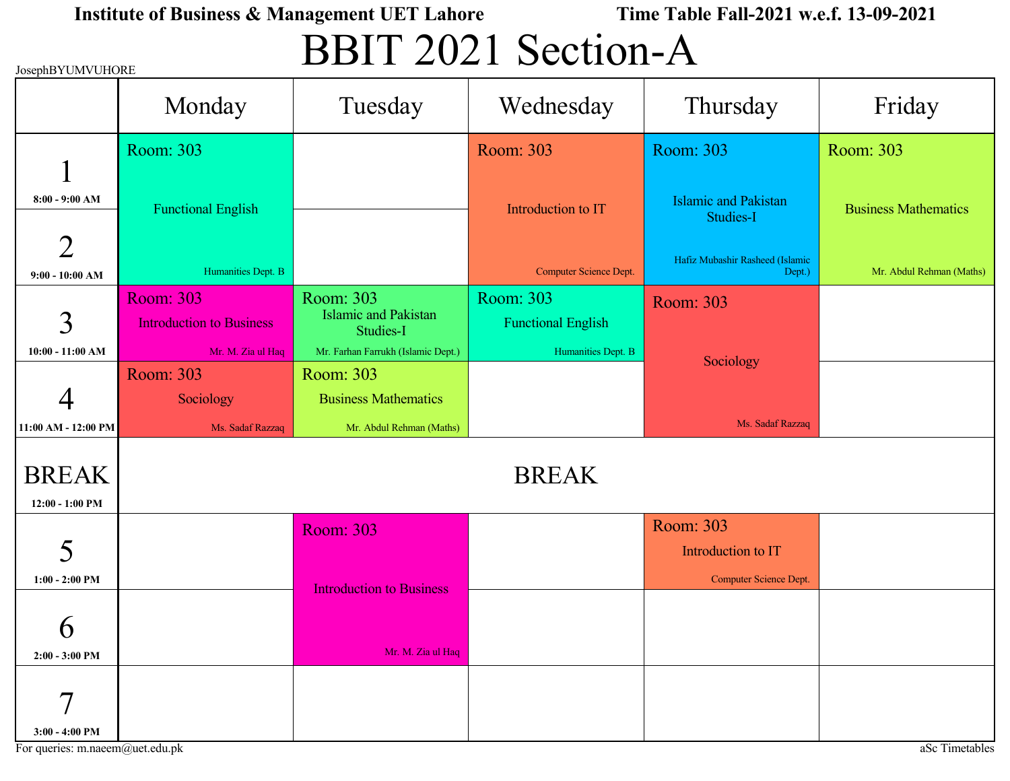# BBIT 2021 Section-A

|                     | JosephBYUMVUHORE                |                                          |                           |                                 |                             |
|---------------------|---------------------------------|------------------------------------------|---------------------------|---------------------------------|-----------------------------|
|                     | Monday                          | Tuesday                                  | Wednesday                 | Thursday                        | Friday                      |
|                     | Room: 303                       |                                          | Room: 303                 | <b>Room: 303</b>                | Room: 303                   |
|                     |                                 |                                          |                           |                                 |                             |
| $8:00 - 9:00$ AM    | <b>Functional English</b>       |                                          | Introduction to IT        | <b>Islamic and Pakistan</b>     | <b>Business Mathematics</b> |
|                     |                                 |                                          |                           | <b>Studies-I</b>                |                             |
| $\overline{2}$      |                                 |                                          |                           | Hafiz Mubashir Rasheed (Islamic |                             |
| $9:00 - 10:00$ AM   | Humanities Dept. B              |                                          | Computer Science Dept.    | Dept.)                          | Mr. Abdul Rehman (Maths)    |
|                     | <b>Room: 303</b>                | Room: 303                                | <b>Room: 303</b>          | Room: 303                       |                             |
| 3                   | <b>Introduction to Business</b> | <b>Islamic and Pakistan</b><br>Studies-I | <b>Functional English</b> |                                 |                             |
| $10:00 - 11:00$ AM  | Mr. M. Zia ul Haq               | Mr. Farhan Farrukh (Islamic Dept.)       | Humanities Dept. B        | Sociology                       |                             |
|                     | Room: 303                       | Room: 303                                |                           |                                 |                             |
|                     | Sociology                       | <b>Business Mathematics</b>              |                           |                                 |                             |
| 11:00 AM - 12:00 PM | Ms. Sadaf Razzaq                | Mr. Abdul Rehman (Maths)                 |                           | Ms. Sadaf Razzaq                |                             |
|                     |                                 |                                          |                           |                                 |                             |
| <b>BREAK</b>        | <b>BREAK</b>                    |                                          |                           |                                 |                             |
| $12:00 - 1:00$ PM   |                                 |                                          |                           |                                 |                             |
|                     |                                 | <b>Room: 303</b>                         |                           | Room: 303                       |                             |
| 5                   |                                 |                                          |                           | Introduction to IT              |                             |
| $1:00 - 2:00$ PM    |                                 | <b>Introduction to Business</b>          |                           | Computer Science Dept.          |                             |
|                     |                                 |                                          |                           |                                 |                             |
| 0                   |                                 |                                          |                           |                                 |                             |
| $2:00 - 3:00$ PM    |                                 | Mr. M. Zia ul Haq                        |                           |                                 |                             |
|                     |                                 |                                          |                           |                                 |                             |
| $\boldsymbol{\tau}$ |                                 |                                          |                           |                                 |                             |
| $3:00 - 4:00$ PM    |                                 |                                          |                           |                                 |                             |

For queries: m.naeem@uet.edu.pk aSc Timetables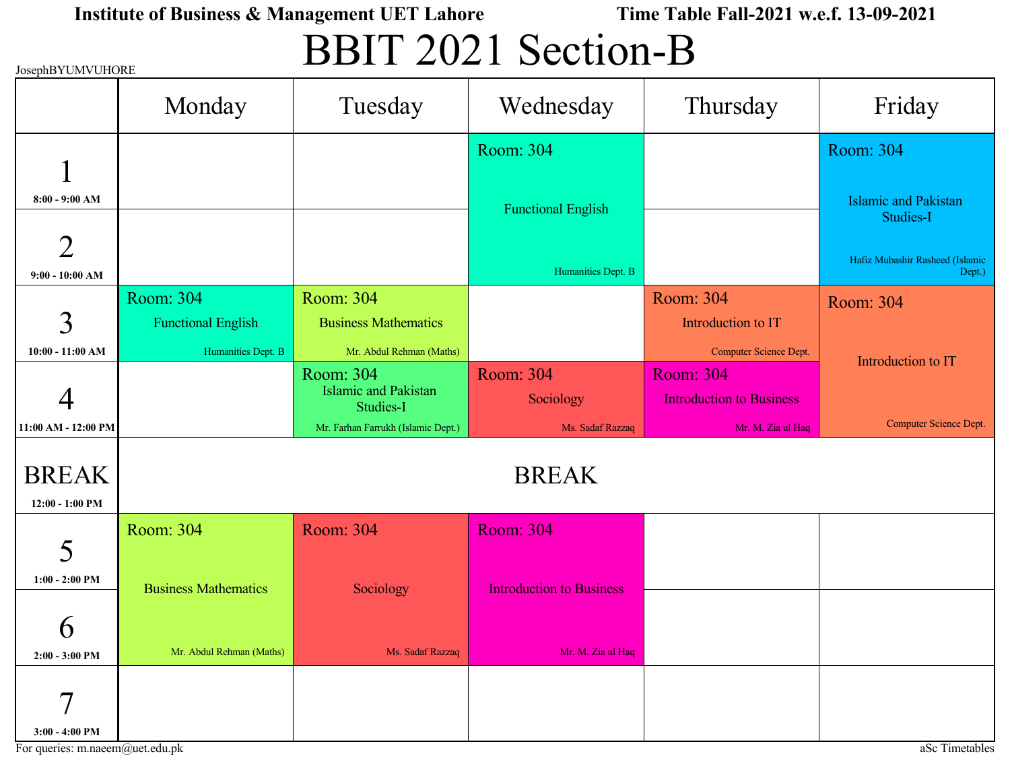## BBIT 2021 Section-B

|                                           | $\bullet$ $\bullet$ $\bullet$ $\bullet$ $\bullet$ $\bullet$<br>JosephBYUMVUHORE |                                                              |                                 |                                                     |                                                 |
|-------------------------------------------|---------------------------------------------------------------------------------|--------------------------------------------------------------|---------------------------------|-----------------------------------------------------|-------------------------------------------------|
|                                           | Monday                                                                          | Tuesday                                                      | Wednesday                       | Thursday                                            | Friday                                          |
|                                           |                                                                                 |                                                              | <b>Room: 304</b>                |                                                     | Room: 304                                       |
| $8:00 - 9:00$ AM                          |                                                                                 |                                                              | <b>Functional English</b>       |                                                     | <b>Islamic and Pakistan</b><br><b>Studies-I</b> |
| $\overline{2}$<br>$9:00 - 10:00$ AM       |                                                                                 |                                                              | Humanities Dept. B              |                                                     | Hafiz Mubashir Rasheed (Islamic<br>Dept.)       |
| 3                                         | Room: 304<br><b>Functional English</b>                                          | Room: 304<br><b>Business Mathematics</b>                     |                                 | Room: 304<br>Introduction to IT                     | Room: 304                                       |
| $10:00 - 11:00 AM$                        | Humanities Dept. B                                                              | Mr. Abdul Rehman (Maths)                                     |                                 | Computer Science Dept.                              | Introduction to IT                              |
|                                           |                                                                                 | <b>Room: 304</b><br><b>Islamic and Pakistan</b><br>Studies-I | <b>Room: 304</b><br>Sociology   | <b>Room: 304</b><br><b>Introduction to Business</b> |                                                 |
| 11:00 AM - 12:00 PM                       |                                                                                 | Mr. Farhan Farrukh (Islamic Dept.)                           | Ms. Sadaf Razzaq                | Mr. M. Zia ul Haq                                   | Computer Science Dept.                          |
| <b>BREAK</b><br>12:00 - 1:00 PM           |                                                                                 |                                                              | <b>BREAK</b>                    |                                                     |                                                 |
| 5                                         | Room: 304                                                                       | <b>Room: 304</b>                                             | <b>Room: 304</b>                |                                                     |                                                 |
| $1:00 - 2:00$ PM                          | <b>Business Mathematics</b>                                                     | Sociology                                                    | <b>Introduction to Business</b> |                                                     |                                                 |
| $\boldsymbol{\theta}$<br>$2:00 - 3:00$ PM | Mr. Abdul Rehman (Maths)                                                        | Ms. Sadaf Razzaq                                             | Mr. M. Zia ul Haq               |                                                     |                                                 |
| $\overline{7}$<br>$3:00 - 4:00$ PM        |                                                                                 |                                                              |                                 |                                                     |                                                 |